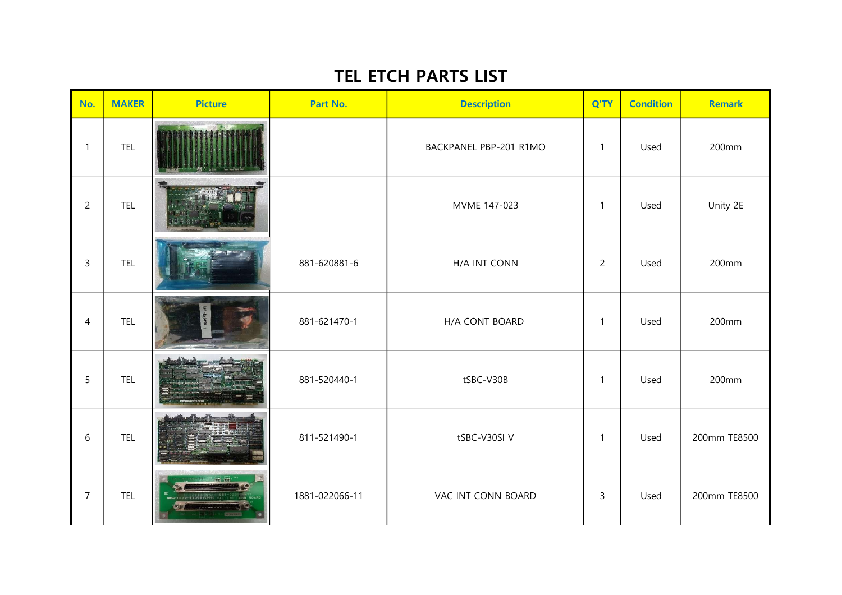## TEL ETCH PARTS LIST

| No.            | <b>MAKER</b> | <b>Picture</b>    | Part No.       | <b>Description</b>     | Q'TY           | <b>Condition</b> | <b>Remark</b> |
|----------------|--------------|-------------------|----------------|------------------------|----------------|------------------|---------------|
| $\mathbf{1}$   | <b>TEL</b>   |                   |                | BACKPANEL PBP-201 R1MO | $\mathbf{1}$   | Used             | 200mm         |
| $\overline{c}$ | <b>TEL</b>   |                   |                | MVME 147-023           | 1              | Used             | Unity 2E      |
| $\mathsf{3}$   | <b>TEL</b>   |                   | 881-620881-6   | H/A INT CONN           | $\overline{2}$ | Used             | 200mm         |
| $\overline{4}$ | <b>TEL</b>   |                   | 881-621470-1   | H/A CONT BOARD         | $\mathbf{1}$   | Used             | 200mm         |
| 5              | <b>TEL</b>   |                   | 881-520440-1   | tSBC-V30B              | $\mathbf{1}$   | Used             | 200mm         |
| 6              | <b>TEL</b>   |                   | 811-521490-1   | tSBC-V30SI V           | $\mathbf{1}$   | Used             | 200mm TE8500  |
| $\overline{7}$ | <b>TEL</b>   | SHOLL/R-11/LATCAN | 1881-022066-11 | VAC INT CONN BOARD     | $\mathsf{3}$   | Used             | 200mm TE8500  |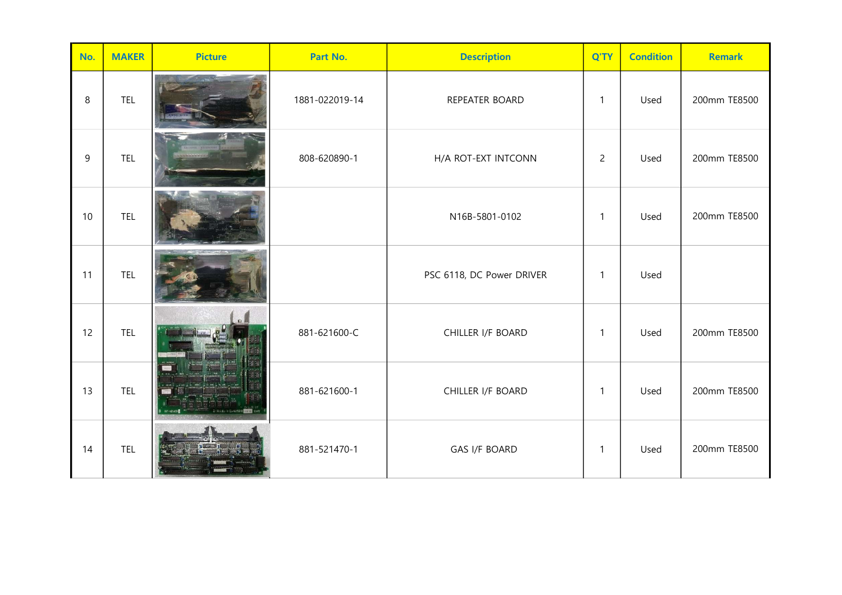| No.     | <b>MAKER</b> | <b>Picture</b> | Part No.       | <b>Description</b>        | Q'TY           | <b>Condition</b> | <b>Remark</b> |
|---------|--------------|----------------|----------------|---------------------------|----------------|------------------|---------------|
| $\,8\,$ | <b>TEL</b>   |                | 1881-022019-14 | REPEATER BOARD            | $\mathbf{1}$   | Used             | 200mm TE8500  |
| $9\,$   | <b>TEL</b>   |                | 808-620890-1   | H/A ROT-EXT INTCONN       | $\overline{2}$ | Used             | 200mm TE8500  |
| 10      | <b>TEL</b>   |                |                | N16B-5801-0102            | $\mathbf{1}$   | Used             | 200mm TE8500  |
| 11      | <b>TEL</b>   |                |                | PSC 6118, DC Power DRIVER | $\mathbf{1}$   | Used             |               |
| 12      | <b>TEL</b>   |                | 881-621600-C   | CHILLER I/F BOARD         | $\mathbf{1}$   | Used             | 200mm TE8500  |
| 13      | <b>TEL</b>   |                | 881-621600-1   | CHILLER I/F BOARD         | $\mathbf{1}$   | Used             | 200mm TE8500  |
| 14      | TEL          |                | 881-521470-1   | <b>GAS I/F BOARD</b>      | 1              | Used             | 200mm TE8500  |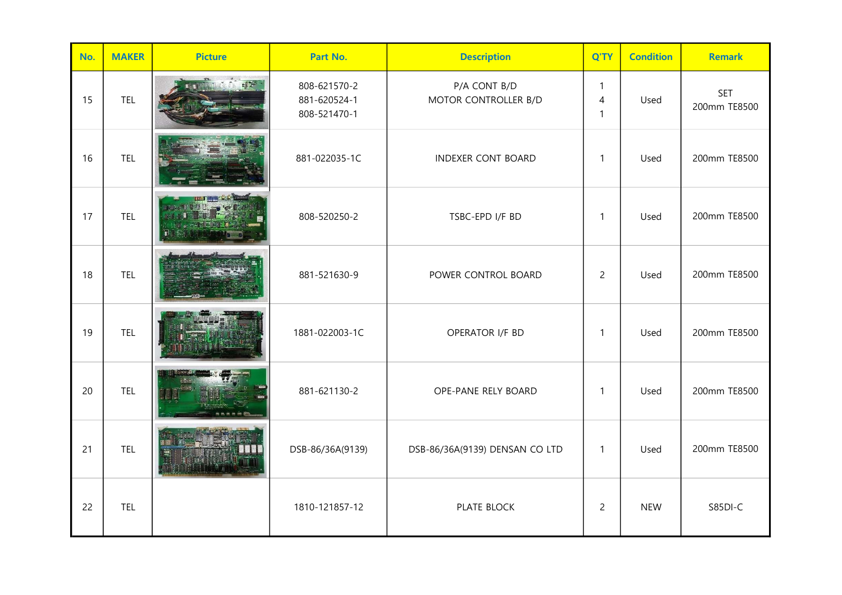| No. | <b>MAKER</b> | <b>Picture</b> | Part No.                                     | <b>Description</b>                   | Q'TY                              | <b>Condition</b> | <b>Remark</b>              |
|-----|--------------|----------------|----------------------------------------------|--------------------------------------|-----------------------------------|------------------|----------------------------|
| 15  | <b>TEL</b>   |                | 808-621570-2<br>881-620524-1<br>808-521470-1 | P/A CONT B/D<br>MOTOR CONTROLLER B/D | $\mathbf{1}$<br>4<br>$\mathbf{1}$ | Used             | <b>SET</b><br>200mm TE8500 |
| 16  | <b>TEL</b>   |                | 881-022035-1C                                | <b>INDEXER CONT BOARD</b>            | 1                                 | Used             | 200mm TE8500               |
| 17  | TEL          |                | 808-520250-2                                 | TSBC-EPD I/F BD                      | 1                                 | Used             | 200mm TE8500               |
| 18  | <b>TEL</b>   |                | 881-521630-9                                 | POWER CONTROL BOARD                  | $\overline{2}$                    | Used             | 200mm TE8500               |
| 19  | <b>TEL</b>   |                | 1881-022003-1C                               | OPERATOR I/F BD                      | $\mathbf{1}$                      | Used             | 200mm TE8500               |
| 20  | <b>TEL</b>   |                | 881-621130-2                                 | OPE-PANE RELY BOARD                  | 1                                 | Used             | 200mm TE8500               |
| 21  | <b>TEL</b>   |                | DSB-86/36A(9139)                             | DSB-86/36A(9139) DENSAN CO LTD       | $\mathbf{1}$                      | Used             | 200mm TE8500               |
| 22  | <b>TEL</b>   |                | 1810-121857-12                               | PLATE BLOCK                          | $\overline{c}$                    | <b>NEW</b>       | S85DI-C                    |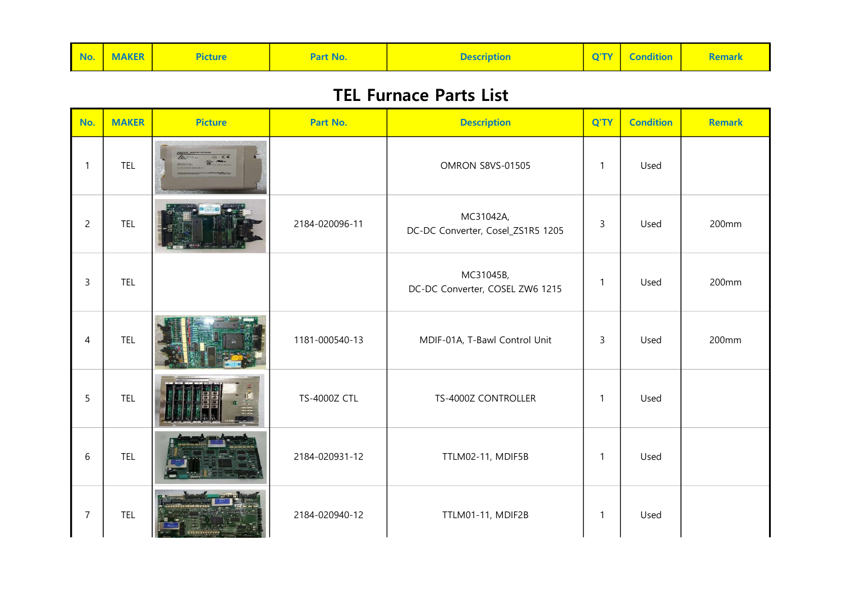| No. MAKER<br><b>Description</b><br>Part No.<br><u>icture</u> | Q'TY   Condition<br><b>Remark</b> |
|--------------------------------------------------------------|-----------------------------------|
|--------------------------------------------------------------|-----------------------------------|

## TEL Furnace Parts List

| No.            | <b>MAKER</b> | <b>Picture</b> | Part No.            | <b>Description</b>                             | Q'TY           | <b>Condition</b> | <b>Remark</b> |
|----------------|--------------|----------------|---------------------|------------------------------------------------|----------------|------------------|---------------|
| $\mathbf{1}$   | TEL          |                |                     | <b>OMRON S8VS-01505</b>                        | $\mathbf{1}$   | Used             |               |
| $\overline{c}$ | <b>TEL</b>   |                | 2184-020096-11      | MC31042A,<br>DC-DC Converter, Cosel_ZS1R5 1205 | $\overline{3}$ | Used             | 200mm         |
| $\overline{3}$ | <b>TEL</b>   |                |                     | MC31045B,<br>DC-DC Converter, COSEL ZW6 1215   | $\mathbf{1}$   | Used             | 200mm         |
| $\overline{4}$ | <b>TEL</b>   |                | 1181-000540-13      | MDIF-01A, T-Bawl Control Unit                  | $\mathsf{3}$   | Used             | 200mm         |
| 5              | <b>TEL</b>   |                | <b>TS-4000Z CTL</b> | TS-4000Z CONTROLLER                            | $\mathbf{1}$   | Used             |               |
| 6              | <b>TEL</b>   |                | 2184-020931-12      | TTLM02-11, MDIF5B                              | $\mathbf{1}$   | Used             |               |
| $\overline{7}$ | <b>TEL</b>   |                | 2184-020940-12      | TTLM01-11, MDIF2B                              | $\mathbf{1}$   | Used             |               |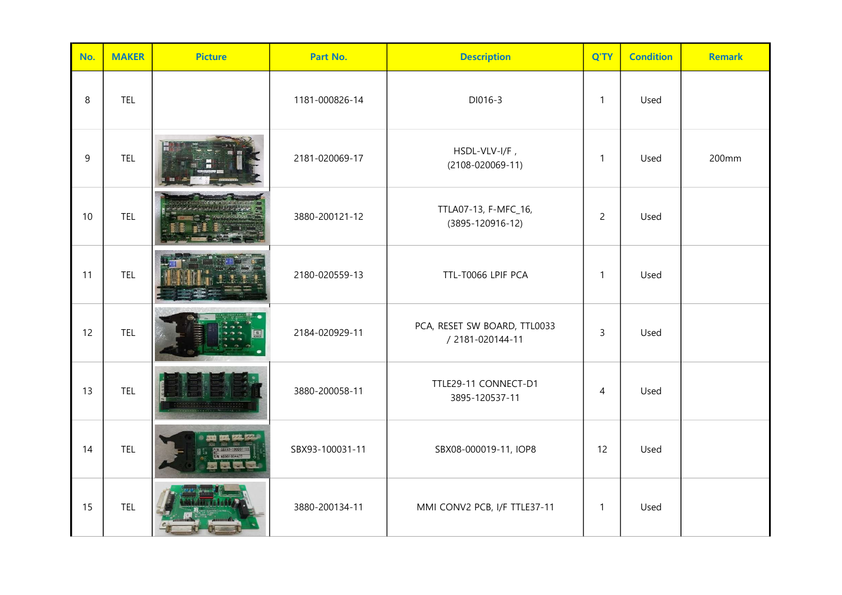| No. | <b>MAKER</b> | <b>Picture</b> | Part No.        | <b>Description</b>                               | Q'TY           | <b>Condition</b> | <b>Remark</b> |
|-----|--------------|----------------|-----------------|--------------------------------------------------|----------------|------------------|---------------|
| 8   | <b>TEL</b>   |                | 1181-000826-14  | DI016-3                                          | $\mathbf{1}$   | Used             |               |
| 9   | <b>TEL</b>   |                | 2181-020069-17  | HSDL-VLV-I/F,<br>$(2108 - 020069 - 11)$          | $\mathbf{1}$   | Used             | 200mm         |
| 10  | <b>TEL</b>   |                | 3880-200121-12  | TTLA07-13, F-MFC_16,<br>$(3895 - 120916 - 12)$   | $\overline{2}$ | Used             |               |
| 11  | <b>TEL</b>   |                | 2180-020559-13  | TTL-T0066 LPIF PCA                               | $\mathbf{1}$   | Used             |               |
| 12  | <b>TEL</b>   |                | 2184-020929-11  | PCA, RESET SW BOARD, TTL0033<br>/ 2181-020144-11 | $\mathsf{3}$   | Used             |               |
| 13  | <b>TEL</b>   |                | 3880-200058-11  | TTLE29-11 CONNECT-D1<br>3895-120537-11           | $\overline{4}$ | Used             |               |
| 14  | <b>TEL</b>   |                | SBX93-100031-11 | SBX08-000019-11, IOP8                            | 12             | Used             |               |
| 15  | <b>TEL</b>   |                | 3880-200134-11  | MMI CONV2 PCB, I/F TTLE37-11                     | $\mathbf{1}$   | Used             |               |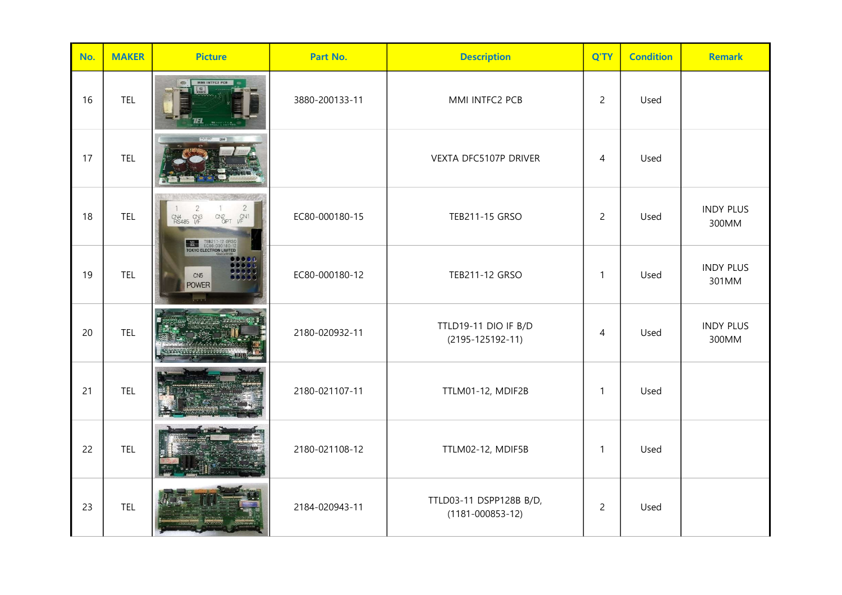| No. | <b>MAKER</b> | <b>Picture</b>                                                                                                                               | Part No.       | <b>Description</b>                                | Q'TY           | <b>Condition</b> | <b>Remark</b>             |
|-----|--------------|----------------------------------------------------------------------------------------------------------------------------------------------|----------------|---------------------------------------------------|----------------|------------------|---------------------------|
| 16  | <b>TEL</b>   | MMI INTFC2 PCB                                                                                                                               | 3880-200133-11 | MMI INTFC2 PCB                                    | $\overline{2}$ | Used             |                           |
| 17  | <b>TEL</b>   |                                                                                                                                              |                | VEXTA DFC5107P DRIVER                             | 4              | Used             |                           |
| 18  | <b>TEL</b>   | $\sqrt{2}$<br>CN4 CN3<br>RS485 L/F<br>$V_F$ CN <sub>1</sub><br>CN <sub>2</sub><br>TEB211-12 GRSO<br>EC80-000180-12<br>TOKYO ELECTRON LIMITED | EC80-000180-15 | TEB211-15 GRSO                                    | $\overline{2}$ | Used             | <b>INDY PLUS</b><br>300MM |
| 19  | <b>TEL</b>   | CN <sub>5</sub><br><b>POWER</b>                                                                                                              | EC80-000180-12 | TEB211-12 GRSO                                    | $\mathbf{1}$   | Used             | <b>INDY PLUS</b><br>301MM |
| 20  | <b>TEL</b>   |                                                                                                                                              | 2180-020932-11 | TTLD19-11 DIO IF B/D<br>$(2195 - 125192 - 11)$    | 4              | Used             | <b>INDY PLUS</b><br>300MM |
| 21  | TEL          |                                                                                                                                              | 2180-021107-11 | TTLM01-12, MDIF2B                                 | 1              | Used             |                           |
| 22  | <b>TEL</b>   |                                                                                                                                              | 2180-021108-12 | TTLM02-12, MDIF5B                                 | $\mathbf{1}$   | Used             |                           |
| 23  | <b>TEL</b>   |                                                                                                                                              | 2184-020943-11 | TTLD03-11 DSPP128B B/D,<br>$(1181 - 000853 - 12)$ | $\overline{2}$ | Used             |                           |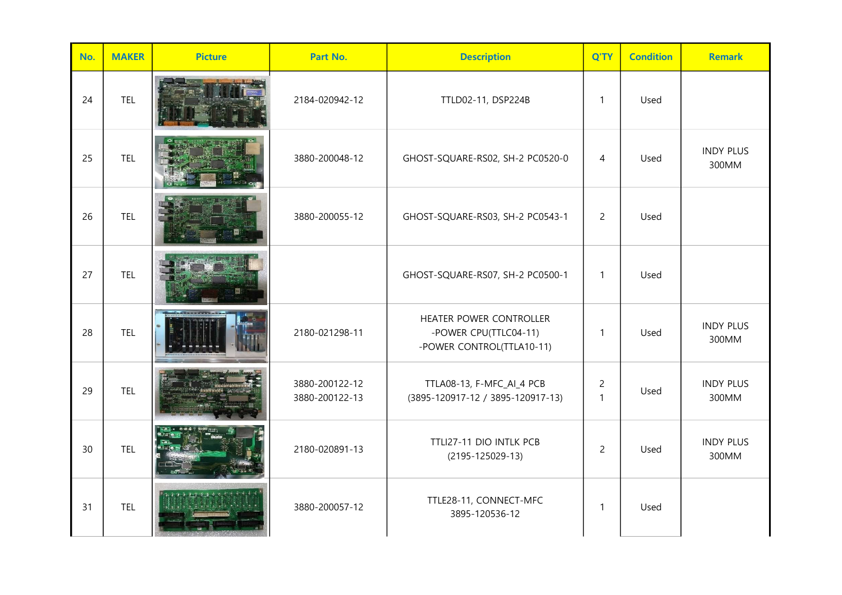| No. | <b>MAKER</b> | <b>Picture</b> | Part No.                         | <b>Description</b>                                                            | Q'TY                | <b>Condition</b> | <b>Remark</b>             |
|-----|--------------|----------------|----------------------------------|-------------------------------------------------------------------------------|---------------------|------------------|---------------------------|
| 24  | <b>TEL</b>   |                | 2184-020942-12                   | TTLD02-11, DSP224B                                                            | $\mathbf{1}$        | Used             |                           |
| 25  | <b>TEL</b>   |                | 3880-200048-12                   | GHOST-SQUARE-RS02, SH-2 PC0520-0                                              | $\overline{4}$      | Used             | <b>INDY PLUS</b><br>300MM |
| 26  | <b>TEL</b>   |                | 3880-200055-12                   | GHOST-SQUARE-RS03, SH-2 PC0543-1                                              | $\overline{2}$      | Used             |                           |
| 27  | <b>TEL</b>   |                |                                  | GHOST-SQUARE-RS07, SH-2 PC0500-1                                              | $\mathbf{1}$        | Used             |                           |
| 28  | <b>TEL</b>   |                | 2180-021298-11                   | HEATER POWER CONTROLLER<br>-POWER CPU(TTLC04-11)<br>-POWER CONTROL(TTLA10-11) | $\mathbf{1}$        | Used             | <b>INDY PLUS</b><br>300MM |
| 29  | <b>TEL</b>   |                | 3880-200122-12<br>3880-200122-13 | TTLA08-13, F-MFC_AI_4 PCB<br>(3895-120917-12 / 3895-120917-13)                | $\overline{2}$<br>1 | Used             | <b>INDY PLUS</b><br>300MM |
| 30  | <b>TEL</b>   |                | 2180-020891-13                   | TTLI27-11 DIO INTLK PCB<br>$(2195 - 125029 - 13)$                             | $\overline{2}$      | Used             | <b>INDY PLUS</b><br>300MM |
| 31  | <b>TEL</b>   |                | 3880-200057-12                   | TTLE28-11, CONNECT-MFC<br>3895-120536-12                                      | $\mathbf{1}$        | Used             |                           |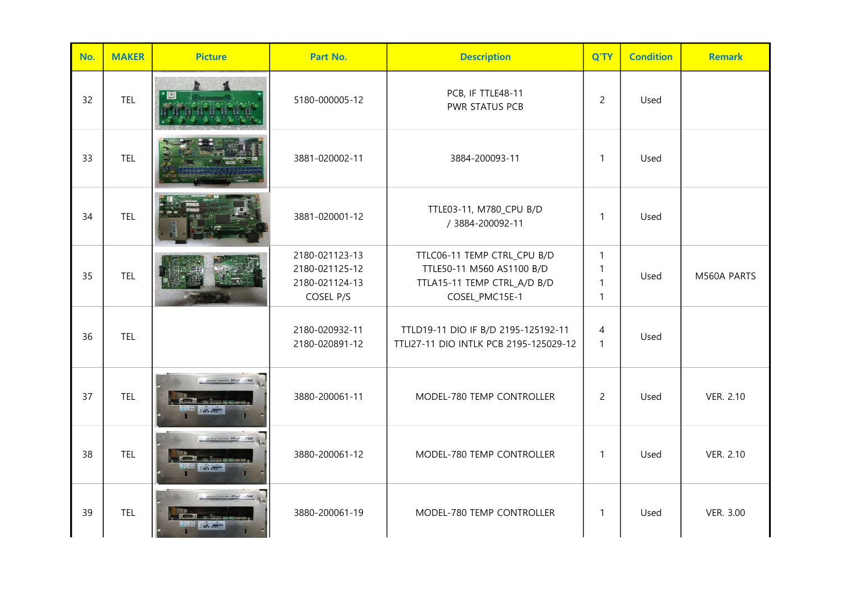| No. | <b>MAKER</b> | <b>Picture</b> | Part No.                                                        | <b>Description</b>                                                                                        | Q'TY                                              | <b>Condition</b> | <b>Remark</b> |
|-----|--------------|----------------|-----------------------------------------------------------------|-----------------------------------------------------------------------------------------------------------|---------------------------------------------------|------------------|---------------|
| 32  | <b>TEL</b>   |                | 5180-000005-12                                                  | PCB, IF TTLE48-11<br>PWR STATUS PCB                                                                       | $\overline{2}$                                    | Used             |               |
| 33  | <b>TEL</b>   |                | 3881-020002-11                                                  | 3884-200093-11                                                                                            | $\mathbf{1}$                                      | Used             |               |
| 34  | <b>TEL</b>   |                | 3881-020001-12                                                  | TTLE03-11, M780_CPU B/D<br>/ 3884-200092-11                                                               | $\mathbf{1}$                                      | Used             |               |
| 35  | <b>TEL</b>   |                | 2180-021123-13<br>2180-021125-12<br>2180-021124-13<br>COSEL P/S | TTLC06-11 TEMP CTRL_CPU B/D<br>TTLE50-11 M560 AS1100 B/D<br>TTLA15-11 TEMP CTRL_A/D B/D<br>COSEL_PMC15E-1 | $\mathbf{1}$<br>1<br>$\mathbf{1}$<br>$\mathbf{1}$ | Used             | M560A PARTS   |
| 36  | TEL          |                | 2180-020932-11<br>2180-020891-12                                | TTLD19-11 DIO IF B/D 2195-125192-11<br>TTLI27-11 DIO INTLK PCB 2195-125029-12                             | 4<br>$\mathbf{1}$                                 | Used             |               |
| 37  | <b>TEL</b>   |                | 3880-200061-11                                                  | MODEL-780 TEMP CONTROLLER                                                                                 | $\overline{2}$                                    | Used             | VER. 2.10     |
| 38  | <b>TEL</b>   |                | 3880-200061-12                                                  | MODEL-780 TEMP CONTROLLER                                                                                 | $\mathbf{1}$                                      | Used             | VER. 2.10     |
| 39  | <b>TEL</b>   | SHIP ANALISI   | 3880-200061-19                                                  | MODEL-780 TEMP CONTROLLER                                                                                 | $\mathbf{1}$                                      | Used             | VER. 3.00     |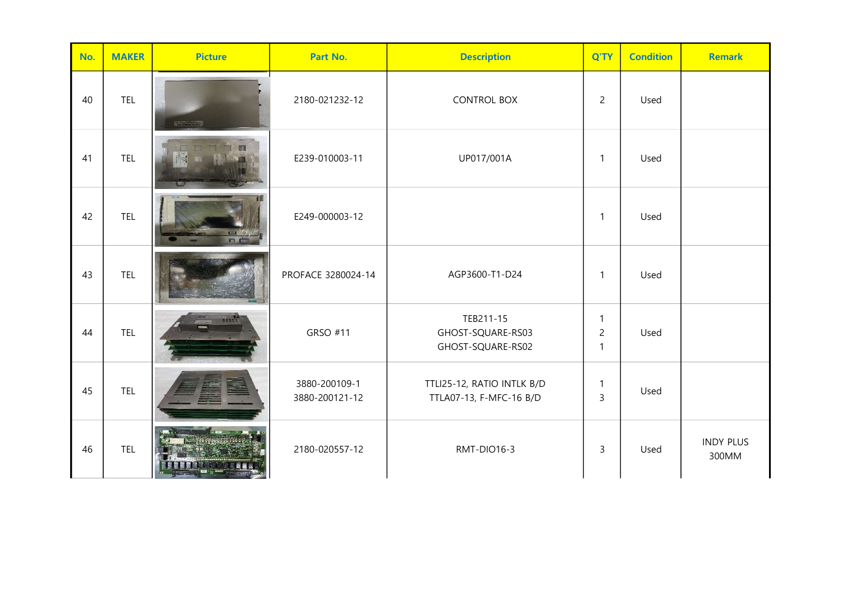| No. | <b>MAKER</b> | <b>Picture</b>  | Part No.                        | <b>Description</b>                                    | Q'TY                                | <b>Condition</b> | <b>Remark</b>             |
|-----|--------------|-----------------|---------------------------------|-------------------------------------------------------|-------------------------------------|------------------|---------------------------|
| 40  | <b>TEL</b>   | <b>RECEIVED</b> | 2180-021232-12                  | <b>CONTROL BOX</b>                                    | $\overline{2}$                      | Used             |                           |
| 41  | TEL          |                 | E239-010003-11                  | UP017/001A                                            | $\mathbf{1}$                        | Used             |                           |
| 42  | <b>TEL</b>   | n F             | E249-000003-12                  |                                                       | $\mathbf{1}$                        | Used             |                           |
| 43  | <b>TEL</b>   |                 | PROFACE 3280024-14              | AGP3600-T1-D24                                        | $\mathbf{1}$                        | Used             |                           |
| 44  | <b>TEL</b>   | <b>BEAD</b>     | GRSO #11                        | TEB211-15<br>GHOST-SQUARE-RS03<br>GHOST-SQUARE-RS02   | 1<br>$\overline{2}$<br>$\mathbf{1}$ | Used             |                           |
| 45  | <b>TEL</b>   |                 | 3880-200109-1<br>3880-200121-12 | TTLI25-12, RATIO INTLK B/D<br>TTLA07-13, F-MFC-16 B/D | 1<br>3                              | Used             |                           |
| 46  | <b>TEL</b>   |                 | 2180-020557-12                  | RMT-DIO16-3                                           | 3                                   | Used             | <b>INDY PLUS</b><br>300MM |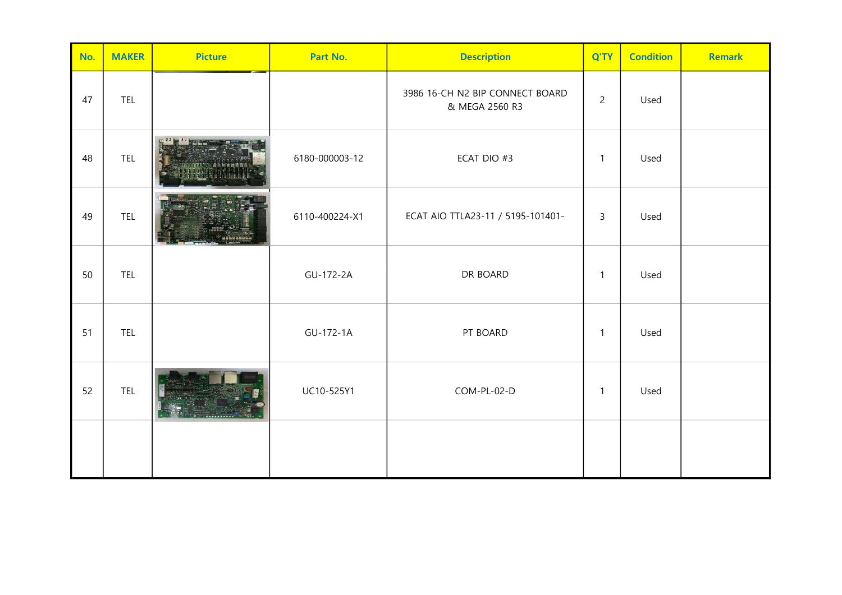| No. | <b>MAKER</b> | <b>Picture</b> | Part No.       | <b>Description</b>                                | Q'TY           | <b>Condition</b> | <b>Remark</b> |
|-----|--------------|----------------|----------------|---------------------------------------------------|----------------|------------------|---------------|
| 47  | <b>TEL</b>   |                |                | 3986 16-CH N2 BIP CONNECT BOARD<br>& MEGA 2560 R3 | $\overline{2}$ | Used             |               |
| 48  | TEL          |                | 6180-000003-12 | ECAT DIO #3                                       | $\mathbf{1}$   | Used             |               |
| 49  | <b>TEL</b>   |                | 6110-400224-X1 | ECAT AIO TTLA23-11 / 5195-101401-                 | 3              | Used             |               |
| 50  | <b>TEL</b>   |                | GU-172-2A      | DR BOARD                                          | $\mathbf{1}$   | Used             |               |
| 51  | <b>TEL</b>   |                | GU-172-1A      | PT BOARD                                          | $\mathbf{1}$   | Used             |               |
| 52  | <b>TEL</b>   |                | UC10-525Y1     | COM-PL-02-D                                       | $\mathbf{1}$   | Used             |               |
|     |              |                |                |                                                   |                |                  |               |